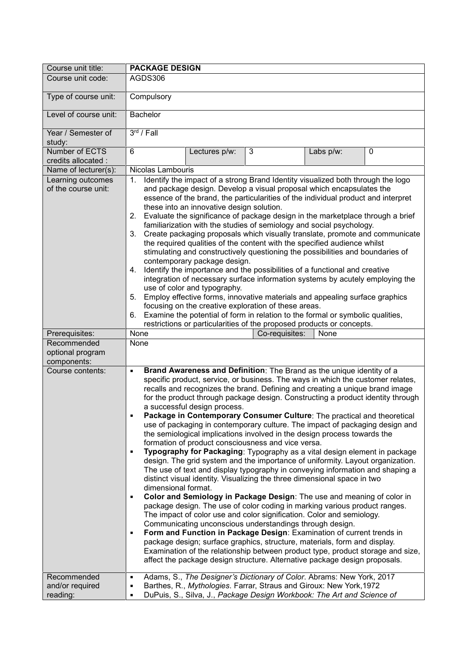| Course unit title:                             | <b>PACKAGE DESIGN</b>                                                                                                                                                                                                                                                                                                                                                                                                                                                                                                                                                                                                                                                                                                                                                                                                                                                                                                                                                                                                                                                                                                                                                                                                                                                                                                                                                                                                                                                                                                                                                                                                                                                                                        |
|------------------------------------------------|--------------------------------------------------------------------------------------------------------------------------------------------------------------------------------------------------------------------------------------------------------------------------------------------------------------------------------------------------------------------------------------------------------------------------------------------------------------------------------------------------------------------------------------------------------------------------------------------------------------------------------------------------------------------------------------------------------------------------------------------------------------------------------------------------------------------------------------------------------------------------------------------------------------------------------------------------------------------------------------------------------------------------------------------------------------------------------------------------------------------------------------------------------------------------------------------------------------------------------------------------------------------------------------------------------------------------------------------------------------------------------------------------------------------------------------------------------------------------------------------------------------------------------------------------------------------------------------------------------------------------------------------------------------------------------------------------------------|
| Course unit code:                              | AGDS306                                                                                                                                                                                                                                                                                                                                                                                                                                                                                                                                                                                                                                                                                                                                                                                                                                                                                                                                                                                                                                                                                                                                                                                                                                                                                                                                                                                                                                                                                                                                                                                                                                                                                                      |
| Type of course unit:                           | Compulsory                                                                                                                                                                                                                                                                                                                                                                                                                                                                                                                                                                                                                                                                                                                                                                                                                                                                                                                                                                                                                                                                                                                                                                                                                                                                                                                                                                                                                                                                                                                                                                                                                                                                                                   |
| Level of course unit:                          | Bachelor                                                                                                                                                                                                                                                                                                                                                                                                                                                                                                                                                                                                                                                                                                                                                                                                                                                                                                                                                                                                                                                                                                                                                                                                                                                                                                                                                                                                                                                                                                                                                                                                                                                                                                     |
| Year / Semester of<br>study:                   | $3rd$ / Fall                                                                                                                                                                                                                                                                                                                                                                                                                                                                                                                                                                                                                                                                                                                                                                                                                                                                                                                                                                                                                                                                                                                                                                                                                                                                                                                                                                                                                                                                                                                                                                                                                                                                                                 |
| Number of ECTS<br>credits allocated :          | 6<br>3<br>$\mathbf 0$<br>Lectures p/w:<br>Labs p/w:                                                                                                                                                                                                                                                                                                                                                                                                                                                                                                                                                                                                                                                                                                                                                                                                                                                                                                                                                                                                                                                                                                                                                                                                                                                                                                                                                                                                                                                                                                                                                                                                                                                          |
| Name of lecturer(s):                           | Nicolas Lambouris                                                                                                                                                                                                                                                                                                                                                                                                                                                                                                                                                                                                                                                                                                                                                                                                                                                                                                                                                                                                                                                                                                                                                                                                                                                                                                                                                                                                                                                                                                                                                                                                                                                                                            |
| Learning outcomes<br>of the course unit:       | Identify the impact of a strong Brand Identity visualized both through the logo<br>1.<br>and package design. Develop a visual proposal which encapsulates the<br>essence of the brand, the particularities of the individual product and interpret<br>these into an innovative design solution.<br>Evaluate the significance of package design in the marketplace through a brief<br>2.<br>familiarization with the studies of semiology and social psychology.<br>Create packaging proposals which visually translate, promote and communicate<br>3.<br>the required qualities of the content with the specified audience whilst<br>stimulating and constructively questioning the possibilities and boundaries of<br>contemporary package design.<br>Identify the importance and the possibilities of a functional and creative<br>4.<br>integration of necessary surface information systems by acutely employing the<br>use of color and typography.<br>5. Employ effective forms, innovative materials and appealing surface graphics<br>focusing on the creative exploration of these areas.<br>6. Examine the potential of form in relation to the formal or symbolic qualities,                                                                                                                                                                                                                                                                                                                                                                                                                                                                                                                      |
|                                                | restrictions or particularities of the proposed products or concepts.                                                                                                                                                                                                                                                                                                                                                                                                                                                                                                                                                                                                                                                                                                                                                                                                                                                                                                                                                                                                                                                                                                                                                                                                                                                                                                                                                                                                                                                                                                                                                                                                                                        |
| Prerequisites:                                 | None<br>Co-requisites:<br>None                                                                                                                                                                                                                                                                                                                                                                                                                                                                                                                                                                                                                                                                                                                                                                                                                                                                                                                                                                                                                                                                                                                                                                                                                                                                                                                                                                                                                                                                                                                                                                                                                                                                               |
| Recommended<br>optional program<br>components: | None                                                                                                                                                                                                                                                                                                                                                                                                                                                                                                                                                                                                                                                                                                                                                                                                                                                                                                                                                                                                                                                                                                                                                                                                                                                                                                                                                                                                                                                                                                                                                                                                                                                                                                         |
| Course contents:                               | Brand Awareness and Definition: The Brand as the unique identity of a<br>٠<br>specific product, service, or business. The ways in which the customer relates,<br>recalls and recognizes the brand. Defining and creating a unique brand image<br>for the product through package design. Constructing a product identity through<br>a successful design process.<br>Package in Contemporary Consumer Culture: The practical and theoretical<br>$\blacksquare$<br>use of packaging in contemporary culture. The impact of packaging design and<br>the semiological implications involved in the design process towards the<br>formation of product consciousness and vice versa.<br>Typography for Packaging: Typography as a vital design element in package<br>$\blacksquare$<br>design. The grid system and the importance of uniformity. Layout organization.<br>The use of text and display typography in conveying information and shaping a<br>distinct visual identity. Visualizing the three dimensional space in two<br>dimensional format.<br>Color and Semiology in Package Design: The use and meaning of color in<br>$\blacksquare$<br>package design. The use of color coding in marking various product ranges.<br>The impact of color use and color signification. Color and semiology.<br>Communicating unconscious understandings through design.<br>Form and Function in Package Design: Examination of current trends in<br>$\blacksquare$<br>package design; surface graphics, structure, materials, form and display.<br>Examination of the relationship between product type, product storage and size,<br>affect the package design structure. Alternative package design proposals. |
| Recommended<br>and/or required<br>reading:     | Adams, S., The Designer's Dictionary of Color. Abrams: New York, 2017<br>٠<br>Barthes, R., Mythologies. Farrar, Straus and Giroux: New York, 1972<br>٠<br>DuPuis, S., Silva, J., Package Design Workbook: The Art and Science of<br>$\blacksquare$                                                                                                                                                                                                                                                                                                                                                                                                                                                                                                                                                                                                                                                                                                                                                                                                                                                                                                                                                                                                                                                                                                                                                                                                                                                                                                                                                                                                                                                           |